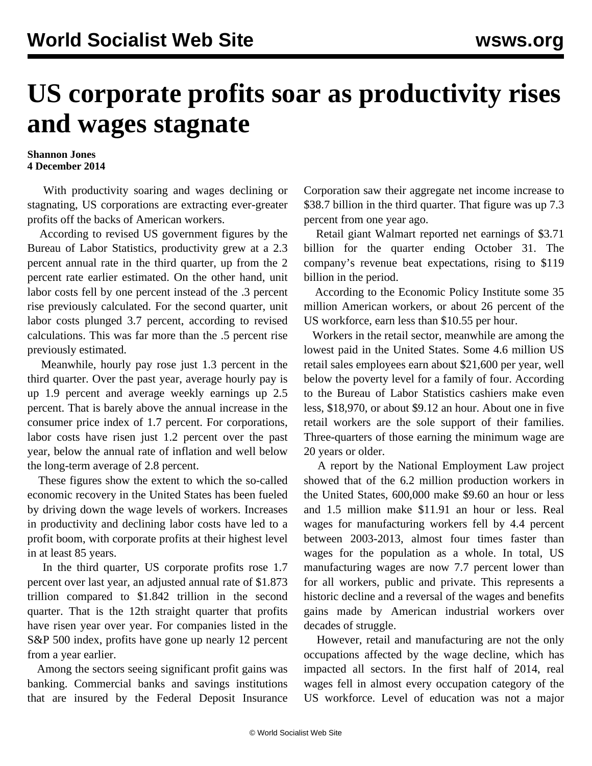## **US corporate profits soar as productivity rises and wages stagnate**

## **Shannon Jones 4 December 2014**

 With productivity soaring and wages declining or stagnating, US corporations are extracting ever-greater profits off the backs of American workers.

 According to revised US government figures by the Bureau of Labor Statistics, productivity grew at a 2.3 percent annual rate in the third quarter, up from the 2 percent rate earlier estimated. On the other hand, unit labor costs fell by one percent instead of the .3 percent rise previously calculated. For the second quarter, unit labor costs plunged 3.7 percent, according to revised calculations. This was far more than the .5 percent rise previously estimated.

 Meanwhile, hourly pay rose just 1.3 percent in the third quarter. Over the past year, average hourly pay is up 1.9 percent and average weekly earnings up 2.5 percent. That is barely above the annual increase in the consumer price index of 1.7 percent. For corporations, labor costs have risen just 1.2 percent over the past year, below the annual rate of inflation and well below the long-term average of 2.8 percent.

 These figures show the extent to which the so-called economic recovery in the United States has been fueled by driving down the wage levels of workers. Increases in productivity and declining labor costs have led to a profit boom, with corporate profits at their highest level in at least 85 years.

 In the third quarter, US corporate profits rose 1.7 percent over last year, an adjusted annual rate of \$1.873 trillion compared to \$1.842 trillion in the second quarter. That is the 12th straight quarter that profits have risen year over year. For companies listed in the S&P 500 index, profits have gone up nearly 12 percent from a year earlier.

 Among the sectors seeing significant profit gains was banking. Commercial banks and savings institutions that are insured by the Federal Deposit Insurance Corporation saw their aggregate net income increase to \$38.7 billion in the third quarter. That figure was up 7.3 percent from one year ago.

 Retail giant Walmart reported net earnings of \$3.71 billion for the quarter ending October 31. The company's revenue beat expectations, rising to \$119 billion in the period.

 According to the Economic Policy Institute some 35 million American workers, or about 26 percent of the US workforce, earn less than \$10.55 per hour.

 Workers in the retail sector, meanwhile are among the lowest paid in the United States. Some 4.6 million US retail sales employees earn about \$21,600 per year, well below the poverty level for a family of four. According to the Bureau of Labor Statistics cashiers make even less, \$18,970, or about \$9.12 an hour. About one in five retail workers are the sole support of their families. Three-quarters of those earning the minimum wage are 20 years or older.

 A [report](http://www.nelp.org/page/-/Justice/2014/Manufacturing-Low-Pay-Declining-Wages-Jobs-Built-Middle-Class.pdf?nocdn=1) by the National Employment Law project showed that of the 6.2 million production workers in the United States, 600,000 make \$9.60 an hour or less and 1.5 million make \$11.91 an hour or less. Real wages for manufacturing workers fell by 4.4 percent between 2003-2013, almost four times faster than wages for the population as a whole. In total, US manufacturing wages are now 7.7 percent lower than for all workers, public and private. This represents a historic decline and a reversal of the wages and benefits gains made by American industrial workers over decades of struggle.

 However, retail and manufacturing are not the only occupations affected by the wage decline, which has impacted all sectors. In the first half of 2014, real wages fell in almost every occupation category of the US workforce. Level of education was not a major